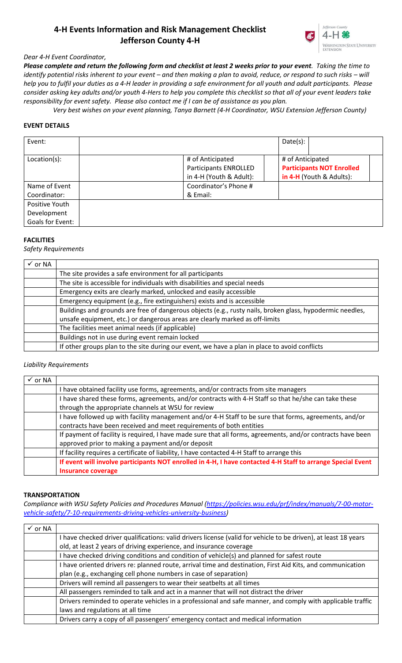# **4-H Events Information and Risk Management Checklist Jefferson County 4-H**



## *Dear 4-H Event Coordinator,*

*Please complete and return the following form and checklist at least 2 weeks prior to your event. Taking the time to identify potential risks inherent to your event – and then making a plan to avoid, reduce, or respond to such risks – will help you to fulfil your duties as a 4-H leader in providing a safe environment for all youth and adult participants. Please consider asking key adults and/or youth 4-Hers to help you complete this checklist so that all of your event leaders take responsibility for event safety. Please also contact me if I can be of assistance as you plan.*

 *Very best wishes on your event planning, Tanya Barnett (4-H Coordinator, WSU Extension Jefferson County)*

### **EVENT DETAILS**

| Event:                                            |                                                                             | Date(s): |                                                                                  |  |
|---------------------------------------------------|-----------------------------------------------------------------------------|----------|----------------------------------------------------------------------------------|--|
| Location(s):                                      | # of Anticipated<br><b>Participants ENROLLED</b><br>in 4-H (Youth & Adult): |          | # of Anticipated<br><b>Participants NOT Enrolled</b><br>in 4-H (Youth & Adults): |  |
| Name of Event<br>Coordinator:                     | Coordinator's Phone #<br>& Email:                                           |          |                                                                                  |  |
| Positive Youth<br>Development<br>Goals for Event: |                                                                             |          |                                                                                  |  |

### **FACILITIES**

*Safety Requirements*

| $\checkmark$ or NA |                                                                                                           |
|--------------------|-----------------------------------------------------------------------------------------------------------|
|                    | The site provides a safe environment for all participants                                                 |
|                    | The site is accessible for individuals with disabilities and special needs                                |
|                    | Emergency exits are clearly marked, unlocked and easily accessible                                        |
|                    | Emergency equipment (e.g., fire extinguishers) exists and is accessible                                   |
|                    | Buildings and grounds are free of dangerous objects (e.g., rusty nails, broken glass, hypodermic needles, |
|                    | unsafe equipment, etc.) or dangerous areas are clearly marked as off-limits                               |
|                    | The facilities meet animal needs (if applicable)                                                          |
|                    | Buildings not in use during event remain locked                                                           |
|                    | If other groups plan to the site during our event, we have a plan in place to avoid conflicts             |

#### *Liability Requirements*

| $\checkmark$ or NA |                                                                                                             |  |  |
|--------------------|-------------------------------------------------------------------------------------------------------------|--|--|
|                    | I have obtained facility use forms, agreements, and/or contracts from site managers                         |  |  |
|                    | I have shared these forms, agreements, and/or contracts with 4-H Staff so that he/she can take these        |  |  |
|                    | through the appropriate channels at WSU for review                                                          |  |  |
|                    | I have followed up with facility management and/or 4-H Staff to be sure that forms, agreements, and/or      |  |  |
|                    | contracts have been received and meet requirements of both entities                                         |  |  |
|                    | If payment of facility is required, I have made sure that all forms, agreements, and/or contracts have been |  |  |
|                    | approved prior to making a payment and/or deposit                                                           |  |  |
|                    | If facility requires a certificate of liability, I have contacted 4-H Staff to arrange this                 |  |  |
|                    | If event will involve participants NOT enrolled in 4-H, I have contacted 4-H Staff to arrange Special Event |  |  |
|                    | Insurance coverage                                                                                          |  |  |

#### **TRANSPORTATION**

Compliance with WSU Safety Policies and Procedures Manual [\(https://policies.wsu.edu/prf/index/manuals/7-00-motor](https://policies.wsu.edu/prf/index/manuals/7-00-motor-vehicle-safety/7-10-requirements-driving-vehicles-university-business)*[vehicle-safety/7-10-requirements-driving-vehicles-university-business\)](https://policies.wsu.edu/prf/index/manuals/7-00-motor-vehicle-safety/7-10-requirements-driving-vehicles-university-business)* 

| $\checkmark$ or NA |                                                                                                                 |
|--------------------|-----------------------------------------------------------------------------------------------------------------|
|                    | I have checked driver qualifications: valid drivers license (valid for vehicle to be driven), at least 18 years |
|                    | old, at least 2 years of driving experience, and insurance coverage                                             |
|                    | have checked driving conditions and condition of vehicle(s) and planned for safest route                        |
|                    | I have oriented drivers re: planned route, arrival time and destination, First Aid Kits, and communication      |
|                    | plan (e.g., exchanging cell phone numbers in case of separation)                                                |
|                    | Drivers will remind all passengers to wear their seatbelts at all times                                         |
|                    | All passengers reminded to talk and act in a manner that will not distract the driver                           |
|                    | Drivers reminded to operate vehicles in a professional and safe manner, and comply with applicable traffic      |
|                    | laws and regulations at all time                                                                                |
|                    | Drivers carry a copy of all passengers' emergency contact and medical information                               |